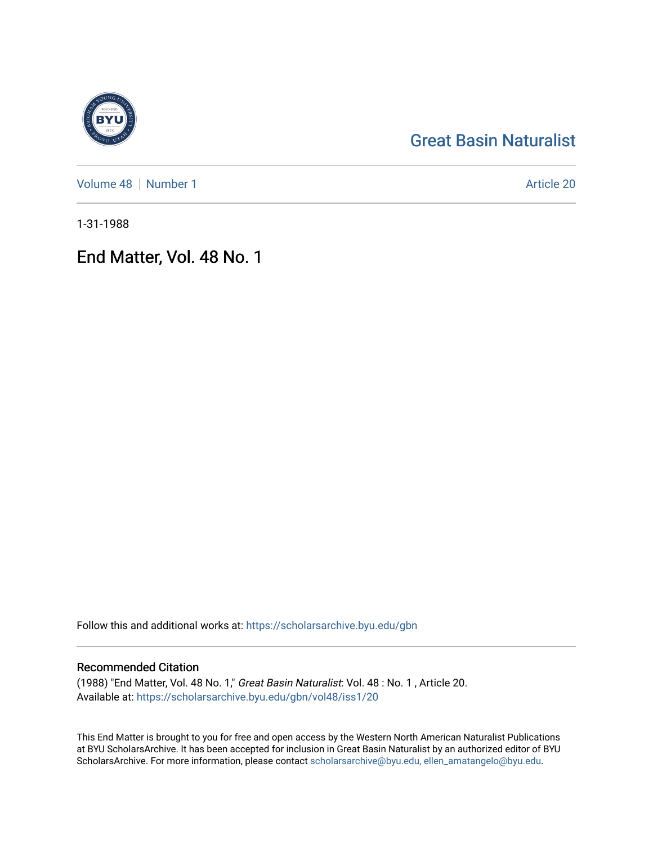# [Great Basin Naturalist](https://scholarsarchive.byu.edu/gbn)

[Volume 48](https://scholarsarchive.byu.edu/gbn/vol48) | [Number 1](https://scholarsarchive.byu.edu/gbn/vol48/iss1) Article 20

1-31-1988

## End Matter, Vol. 48 No. 1

Follow this and additional works at: [https://scholarsarchive.byu.edu/gbn](https://scholarsarchive.byu.edu/gbn?utm_source=scholarsarchive.byu.edu%2Fgbn%2Fvol48%2Fiss1%2F20&utm_medium=PDF&utm_campaign=PDFCoverPages) 

### Recommended Citation

(1988) "End Matter, Vol. 48 No. 1," Great Basin Naturalist: Vol. 48 : No. 1 , Article 20. Available at: [https://scholarsarchive.byu.edu/gbn/vol48/iss1/20](https://scholarsarchive.byu.edu/gbn/vol48/iss1/20?utm_source=scholarsarchive.byu.edu%2Fgbn%2Fvol48%2Fiss1%2F20&utm_medium=PDF&utm_campaign=PDFCoverPages) 

This End Matter is brought to you for free and open access by the Western North American Naturalist Publications at BYU ScholarsArchive. It has been accepted for inclusion in Great Basin Naturalist by an authorized editor of BYU ScholarsArchive. For more information, please contact [scholarsarchive@byu.edu, ellen\\_amatangelo@byu.edu.](mailto:scholarsarchive@byu.edu,%20ellen_amatangelo@byu.edu)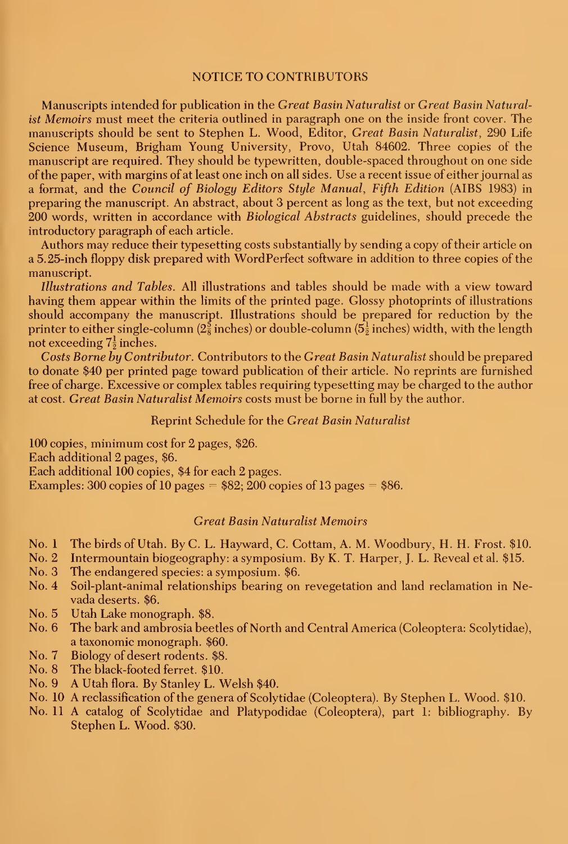#### NOTICE TO CONTRIBUTORS

Manuscripts intended for publication in the Great Basin Naturalist or Great Basin Naturalist Memoirs must meet the criteria outlined in paragraph one on the inside front cover. The manuscripts should be sent to Stephen L. Wood, Editor, Great Basin Naturalist, 290 Life Science Museum, Brigham Young University, Provo, Utah 84602. Three copies of the manuscript are required. They should be typewritten, double-spaced throughout on one side of the paper, with margins of at least one inch on all sides. Use a recent issue of either journal as a format, and the Council of Biology Editors Style Manual, Fifth Edition (AIBS 1983) in preparing the manuscript. An abstract, about 3 percent as long as the text, but not exceeding 200 words, written in accordance with Biological Abstracts guidelines, should precede the introductory paragraph of each article.

Authors may reduce their typesetting costs substantially by sending a copy of their article on a 5.25-inch floppy disk prepared with WordPerfect software in addition to three copies of the manuscript.

Illustrations and Tables. All illustrations and tables should be made with a view toward having them appear within the limits of the printed page. Glossy photoprints of illustrations should accompany the manuscript. Illustrations should be prepared for reduction by the printer to either single-column ( $2\frac{5}{8}$  inches) or double-column ( $5\frac{1}{2}$  inches) width, with the length not exceeding  $7\frac{1}{2}$  inches.

Costs Borne by Contributor. Contributors to the Great Basin Naturalist should be prepared to donate \$40 per printed page toward publication of their article. No reprints are furnished free of charge. Excessive or complex tables requiring typesetting may be charged to the author at cost. Great Basin Naturalist Memoirs costs must be borne in full by the author.

#### Reprint Schedule for the Great Basin Naturalist

100 copies, minimum cost for 2 pages, \$26. Each additional 2 pages, \$6. Each additional 100 copies, \$4 for each 2 pages. Examples: 300 copies of 10 pages  $= $82; 200$  copies of 13 pages  $= $86$ .

#### Great Basin Naturalist Memoirs

- No. <sup>1</sup> The birds of Utah. By C. L. Hayward, C. Cottam, A. M. Woodbury, H. H. Frost. \$10.
- No. 2 Intermountain biogeography: a symposium. By K. T. Harper, J. L. Reveal et al. \$15.
- The endangered species: a symposium. \$6.
- No. 4 Soil-plant-animal relationships bearing on revegetation and land reclamation in Nevada deserts. \$6.
- No. 5 Utah Lake monograph. \$8.
- No. 6 The bark and ambrosia beetles of North and Central America (Coleoptera: Scolytidae), a taxonomic monograph. \$60.
- No. 7 Biology of desert rodents. \$8.
- No. 8 The black-footed ferret. \$10.
- No. 9 A Utah flora. By Stanley L. Welsh \$40.
- No. 10 A reclassification of the genera of Scolytidae (Coleoptera). By Stephen L. Wood. \$10.
- No. <sup>11</sup> A catalog of Scolytidae and Platypodidae (Coleoptera), part 1: bibliography. By Stephen L. Wood. \$30.